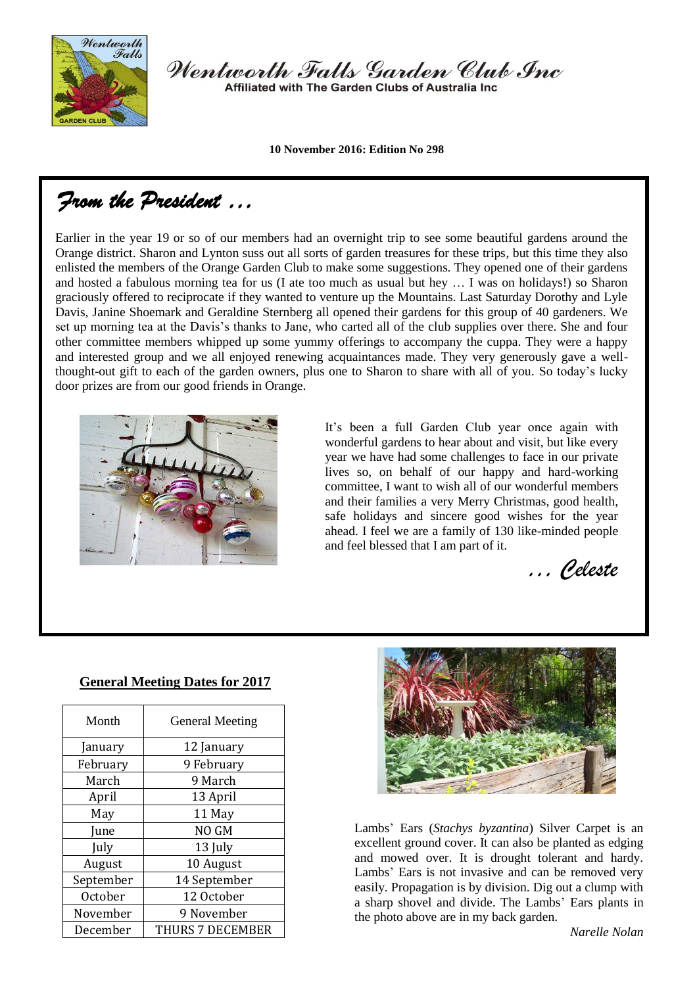

Wentworth Falls Garden Club Inc Affiliated with The Garden Clubs of Australia Inc.

**10 November 2016: Edition No 298**

*From the President …* 

Earlier in the year 19 or so of our members had an overnight trip to see some beautiful gardens around the Orange district. Sharon and Lynton suss out all sorts of garden treasures for these trips, but this time they also enlisted the members of the Orange Garden Club to make some suggestions. They opened one of their gardens and hosted a fabulous morning tea for us (I ate too much as usual but hey … I was on holidays!) so Sharon graciously offered to reciprocate if they wanted to venture up the Mountains. Last Saturday Dorothy and Lyle Davis, Janine Shoemark and Geraldine Sternberg all opened their gardens for this group of 40 gardeners. We set up morning tea at the Davis's thanks to Jane, who carted all of the club supplies over there. She and four other committee members whipped up some yummy offerings to accompany the cuppa. They were a happy and interested group and we all enjoyed renewing acquaintances made. They very generously gave a wellthought-out gift to each of the garden owners, plus one to Sharon to share with all of you. So today's lucky door prizes are from our good friends in Orange.



It's been a full Garden Club year once again with wonderful gardens to hear about and visit, but like every year we have had some challenges to face in our private lives so, on behalf of our happy and hard-working committee, I want to wish all of our wonderful members and their families a very Merry Christmas, good health, safe holidays and sincere good wishes for the year ahead. I feel we are a family of 130 like-minded people and feel blessed that I am part of it.

*… Celeste*

| Month     | <b>General Meeting</b> |  |
|-----------|------------------------|--|
| January   | 12 January             |  |
| February  | 9 February             |  |
| March     | 9 March                |  |
| April     | 13 April               |  |
| May       | 11 May                 |  |
| June      | NO GM                  |  |
| July      | 13 July                |  |
| August    | 10 August              |  |
| September | 14 September           |  |
| October   | 12 October             |  |
| November  | 9 November             |  |
| December  | THURS 7 DECEMBER       |  |

#### **General Meeting Dates for 2017**



Lambs' Ears (*Stachys byzantina*) Silver Carpet is an excellent ground cover. It can also be planted as edging and mowed over. It is drought tolerant and hardy. Lambs' Ears is not invasive and can be removed very easily. Propagation is by division. Dig out a clump with a sharp shovel and divide. The Lambs' Ears plants in the photo above are in my back garden.